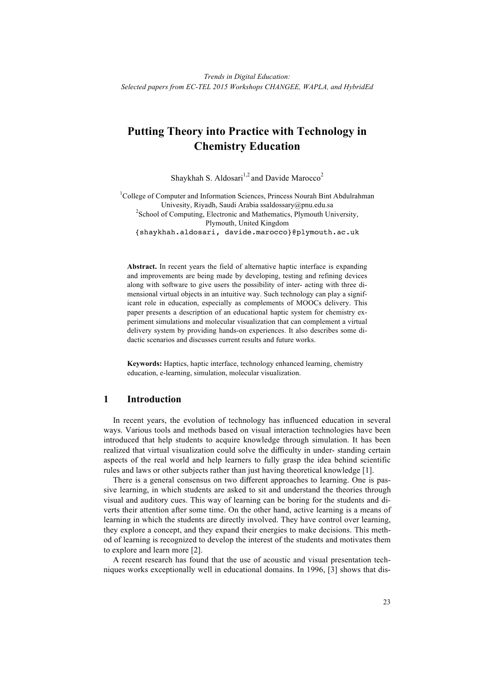# **Putting Theory into Practice with Technology in Chemistry Education**

Shaykhah S. Aldosari<sup>1,2</sup> and Davide Marocco<sup>2</sup>

<sup>1</sup>College of Computer and Information Sciences, Princess Nourah Bint Abdulrahman Univesity, Riyadh, Saudi Arabia ssaldossary@pnu.edu.sa <sup>2</sup> School of Computing, Electronic and Mathematics, Plymouth University, Plymouth, United Kingdom {shaykhah.aldosari, davide.marocco}@plymouth.ac.uk

**Abstract.** In recent years the field of alternative haptic interface is expanding and improvements are being made by developing, testing and refining devices along with software to give users the possibility of inter- acting with three dimensional virtual objects in an intuitive way. Such technology can play a significant role in education, especially as complements of MOOCs delivery. This paper presents a description of an educational haptic system for chemistry experiment simulations and molecular visualization that can complement a virtual delivery system by providing hands-on experiences. It also describes some didactic scenarios and discusses current results and future works.

**Keywords:** Haptics, haptic interface, technology enhanced learning, chemistry education, e-learning, simulation, molecular visualization.

# **1 Introduction**

In recent years, the evolution of technology has influenced education in several ways. Various tools and methods based on visual interaction technologies have been introduced that help students to acquire knowledge through simulation. It has been realized that virtual visualization could solve the difficulty in under- standing certain aspects of the real world and help learners to fully grasp the idea behind scientific rules and laws or other subjects rather than just having theoretical knowledge [1].

There is a general consensus on two different approaches to learning. One is passive learning, in which students are asked to sit and understand the theories through visual and auditory cues. This way of learning can be boring for the students and diverts their attention after some time. On the other hand, active learning is a means of learning in which the students are directly involved. They have control over learning, they explore a concept, and they expand their energies to make decisions. This method of learning is recognized to develop the interest of the students and motivates them to explore and learn more [2].

A recent research has found that the use of acoustic and visual presentation techniques works exceptionally well in educational domains. In 1996, [3] shows that dis-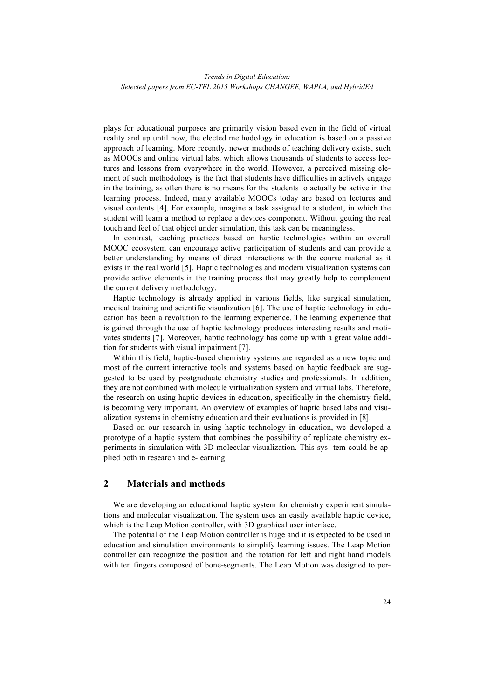plays for educational purposes are primarily vision based even in the field of virtual reality and up until now, the elected methodology in education is based on a passive approach of learning. More recently, newer methods of teaching delivery exists, such as MOOCs and online virtual labs, which allows thousands of students to access lectures and lessons from everywhere in the world. However, a perceived missing element of such methodology is the fact that students have difficulties in actively engage in the training, as often there is no means for the students to actually be active in the learning process. Indeed, many available MOOCs today are based on lectures and visual contents [4]. For example, imagine a task assigned to a student, in which the student will learn a method to replace a devices component. Without getting the real touch and feel of that object under simulation, this task can be meaningless.

In contrast, teaching practices based on haptic technologies within an overall MOOC ecosystem can encourage active participation of students and can provide a better understanding by means of direct interactions with the course material as it exists in the real world [5]. Haptic technologies and modern visualization systems can provide active elements in the training process that may greatly help to complement the current delivery methodology.

Haptic technology is already applied in various fields, like surgical simulation, medical training and scientific visualization [6]. The use of haptic technology in education has been a revolution to the learning experience. The learning experience that is gained through the use of haptic technology produces interesting results and motivates students [7]. Moreover, haptic technology has come up with a great value addition for students with visual impairment [7].

Within this field, haptic-based chemistry systems are regarded as a new topic and most of the current interactive tools and systems based on haptic feedback are suggested to be used by postgraduate chemistry studies and professionals. In addition, they are not combined with molecule virtualization system and virtual labs. Therefore, the research on using haptic devices in education, specifically in the chemistry field, is becoming very important. An overview of examples of haptic based labs and visualization systems in chemistry education and their evaluations is provided in [8].

Based on our research in using haptic technology in education, we developed a prototype of a haptic system that combines the possibility of replicate chemistry experiments in simulation with 3D molecular visualization. This sys- tem could be applied both in research and e-learning.

# **2 Materials and methods**

We are developing an educational haptic system for chemistry experiment simulations and molecular visualization. The system uses an easily available haptic device, which is the Leap Motion controller, with 3D graphical user interface.

The potential of the Leap Motion controller is huge and it is expected to be used in education and simulation environments to simplify learning issues. The Leap Motion controller can recognize the position and the rotation for left and right hand models with ten fingers composed of bone-segments. The Leap Motion was designed to per-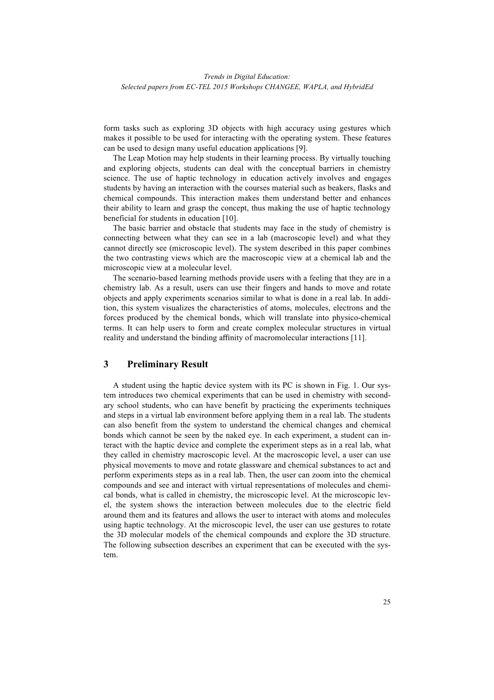form tasks such as exploring 3D objects with high accuracy using gestures which makes it possible to be used for interacting with the operating system. These features can be used to design many useful education applications [9].

The Leap Motion may help students in their learning process. By virtually touching and exploring objects, students can deal with the conceptual barriers in chemistry science. The use of haptic technology in education actively involves and engages students by having an interaction with the courses material such as beakers, flasks and chemical compounds. This interaction makes them understand better and enhances their ability to learn and grasp the concept, thus making the use of haptic technology beneficial for students in education [10].

The basic barrier and obstacle that students may face in the study of chemistry is connecting between what they can see in a lab (macroscopic level) and what they cannot directly see (microscopic level). The system described in this paper combines the two contrasting views which are the macroscopic view at a chemical lab and the microscopic view at a molecular level.

The scenario-based learning methods provide users with a feeling that they are in a chemistry lab. As a result, users can use their fingers and hands to move and rotate objects and apply experiments scenarios similar to what is done in a real lab. In addition, this system visualizes the characteristics of atoms, molecules, electrons and the forces produced by the chemical bonds, which will translate into physico-chemical terms. It can help users to form and create complex molecular structures in virtual reality and understand the binding affinity of macromolecular interactions [11].

# **3 Preliminary Result**

A student using the haptic device system with its PC is shown in Fig. 1. Our system introduces two chemical experiments that can be used in chemistry with secondary school students, who can have benefit by practicing the experiments techniques and steps in a virtual lab environment before applying them in a real lab. The students can also benefit from the system to understand the chemical changes and chemical bonds which cannot be seen by the naked eye. In each experiment, a student can interact with the haptic device and complete the experiment steps as in a real lab, what they called in chemistry macroscopic level. At the macroscopic level, a user can use physical movements to move and rotate glassware and chemical substances to act and perform experiments steps as in a real lab. Then, the user can zoom into the chemical compounds and see and interact with virtual representations of molecules and chemical bonds, what is called in chemistry, the microscopic level. At the microscopic level, the system shows the interaction between molecules due to the electric field around them and its features and allows the user to interact with atoms and molecules using haptic technology. At the microscopic level, the user can use gestures to rotate the 3D molecular models of the chemical compounds and explore the 3D structure. The following subsection describes an experiment that can be executed with the system.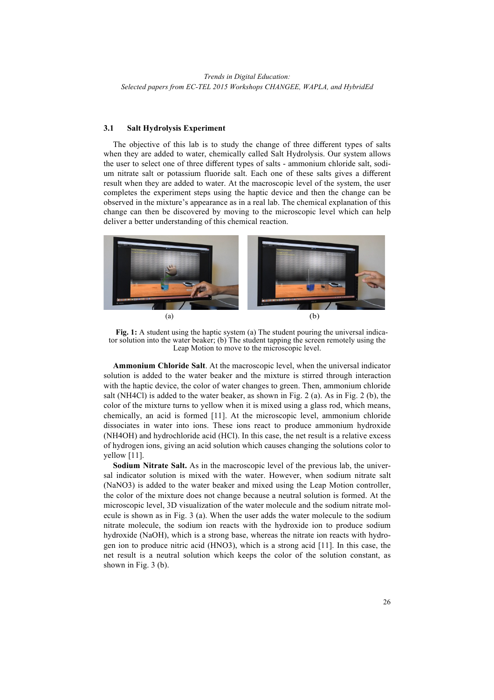#### **3.1 Salt Hydrolysis Experiment**

The objective of this lab is to study the change of three different types of salts when they are added to water, chemically called Salt Hydrolysis. Our system allows the user to select one of three different types of salts - ammonium chloride salt, sodium nitrate salt or potassium fluoride salt. Each one of these salts gives a different result when they are added to water. At the macroscopic level of the system, the user completes the experiment steps using the haptic device and then the change can be observed in the mixture's appearance as in a real lab. The chemical explanation of this change can then be discovered by moving to the microscopic level which can help deliver a better understanding of this chemical reaction.



Fig. 1: A student using the haptic system (a) The student pouring the universal indicator solution into the water beaker; (b) The student tapping the screen remotely using the Leap Motion to move to the microscopic level.

**Ammonium Chloride Salt**. At the macroscopic level, when the universal indicator solution is added to the water beaker and the mixture is stirred through interaction with the haptic device, the color of water changes to green. Then, ammonium chloride salt (NH4Cl) is added to the water beaker, as shown in Fig. 2 (a). As in Fig. 2 (b), the color of the mixture turns to yellow when it is mixed using a glass rod, which means, chemically, an acid is formed [11]. At the microscopic level, ammonium chloride dissociates in water into ions. These ions react to produce ammonium hydroxide (NH4OH) and hydrochloride acid (HCl). In this case, the net result is a relative excess of hydrogen ions, giving an acid solution which causes changing the solutions color to yellow [11].

**Sodium Nitrate Salt.** As in the macroscopic level of the previous lab, the universal indicator solution is mixed with the water. However, when sodium nitrate salt (NaNO3) is added to the water beaker and mixed using the Leap Motion controller, the color of the mixture does not change because a neutral solution is formed. At the microscopic level, 3D visualization of the water molecule and the sodium nitrate molecule is shown as in Fig. 3 (a). When the user adds the water molecule to the sodium nitrate molecule, the sodium ion reacts with the hydroxide ion to produce sodium hydroxide (NaOH), which is a strong base, whereas the nitrate ion reacts with hydrogen ion to produce nitric acid (HNO3), which is a strong acid [11]. In this case, the net result is a neutral solution which keeps the color of the solution constant, as shown in Fig. 3 (b).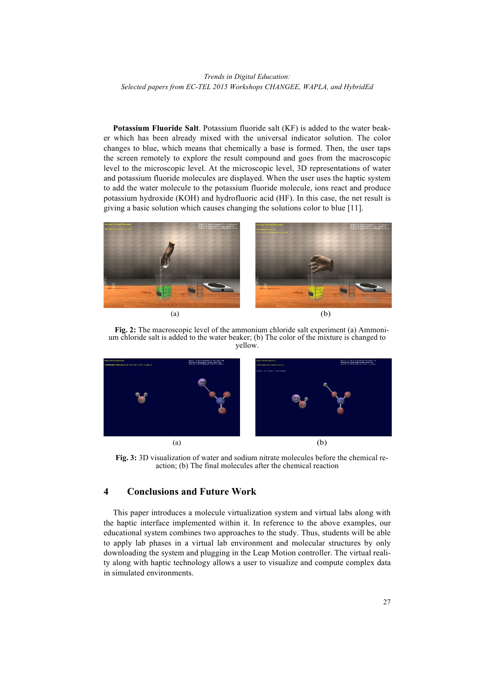**Potassium Fluoride Salt**. Potassium fluoride salt (KF) is added to the water beaker which has been already mixed with the universal indicator solution. The color changes to blue, which means that chemically a base is formed. Then, the user taps the screen remotely to explore the result compound and goes from the macroscopic level to the microscopic level. At the microscopic level, 3D representations of water and potassium fluoride molecules are displayed. When the user uses the haptic system to add the water molecule to the potassium fluoride molecule, ions react and produce potassium hydroxide (KOH) and hydrofluoric acid (HF). In this case, the net result is giving a basic solution which causes changing the solutions color to blue [11].



**Fig. 2:** The macroscopic level of the ammonium chloride salt experiment (a) Ammonium chloride salt is added to the water beaker; (b) The color of the mixture is changed to yellow.



**Fig. 3:** 3D visualization of water and sodium nitrate molecules before the chemical reaction; (b) The final molecules after the chemical reaction

## **4 Conclusions and Future Work**

This paper introduces a molecule virtualization system and virtual labs along with the haptic interface implemented within it. In reference to the above examples, our educational system combines two approaches to the study. Thus, students will be able to apply lab phases in a virtual lab environment and molecular structures by only downloading the system and plugging in the Leap Motion controller. The virtual reality along with haptic technology allows a user to visualize and compute complex data in simulated environments.